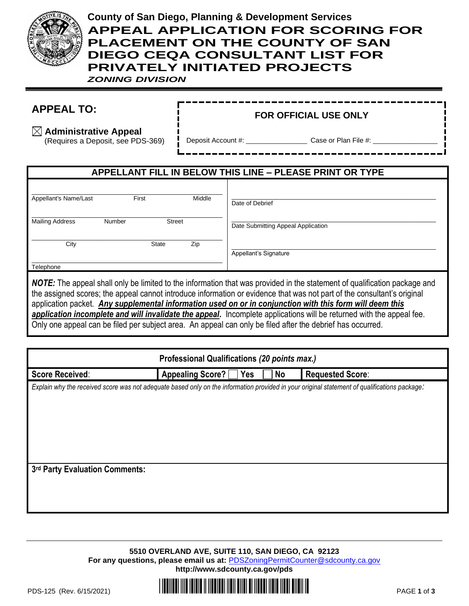

# **County of San Diego, Planning & Development Services APPEAL APPLICATION FOR SCORING FOR PLACEMENT ON THE COUNTY OF SAN DIEGO CEQA CONSULTANT LIST FOR PRIVATELY INITIATED PROJECTS**

*ZONING DIVISION*

## **APPEAL TO:**

#### **FOR OFFICIAL USE ONLY**

**Administrative Appeal**

(Requires a Deposit, see PDS-369)

Deposit Account #: \_\_\_\_\_\_\_\_\_\_\_\_\_\_\_\_\_\_\_\_\_\_\_\_\_\_ Case or Plan File #:

### **APPELLANT FILL IN BELOW THIS LINE – PLEASE PRINT OR TYPE**

| Appellant's Name/Last  |        | First         | Middle | Date of Debrief                    |
|------------------------|--------|---------------|--------|------------------------------------|
| <b>Mailing Address</b> | Number | <b>Street</b> |        | Date Submitting Appeal Application |
| City                   |        | <b>State</b>  | Zip    | Appellant's Signature              |
| Telephone              |        |               |        |                                    |

*NOTE:* The appeal shall only be limited to the information that was provided in the statement of qualification package and the assigned scores; the appeal cannot introduce information or evidence that was not part of the consultant's original application packet. *Any supplemental information used on or in conjunction with this form will deem this application incomplete and will invalidate the appeal***.** Incomplete applications will be returned with the appeal fee. Only one appeal can be filed per subject area. An appeal can only be filed after the debrief has occurred.

| Professional Qualifications (20 points max.)                                                                                                 |                    |     |    |                         |  |  |
|----------------------------------------------------------------------------------------------------------------------------------------------|--------------------|-----|----|-------------------------|--|--|
| <b>Score Received:</b>                                                                                                                       | Appealing Score? [ | Yes | No | <b>Requested Score:</b> |  |  |
| Explain why the received score was not adequate based only on the information provided in your original statement of qualifications package: |                    |     |    |                         |  |  |
|                                                                                                                                              |                    |     |    |                         |  |  |
|                                                                                                                                              |                    |     |    |                         |  |  |
|                                                                                                                                              |                    |     |    |                         |  |  |
|                                                                                                                                              |                    |     |    |                         |  |  |
|                                                                                                                                              |                    |     |    |                         |  |  |
|                                                                                                                                              |                    |     |    |                         |  |  |
| 3rd Party Evaluation Comments:                                                                                                               |                    |     |    |                         |  |  |
|                                                                                                                                              |                    |     |    |                         |  |  |
|                                                                                                                                              |                    |     |    |                         |  |  |
|                                                                                                                                              |                    |     |    |                         |  |  |

**5510 OVERLAND AVE, SUITE 110, SAN DIEGO, CA 92123 For any questions, please email us at:** [PDSZoningPermitCounter@sdcounty.ca.gov](mailto:PDSZoningPermitCounter@sdcounty.ca.gov) **<http://www.sdcounty.ca.gov/pds>**

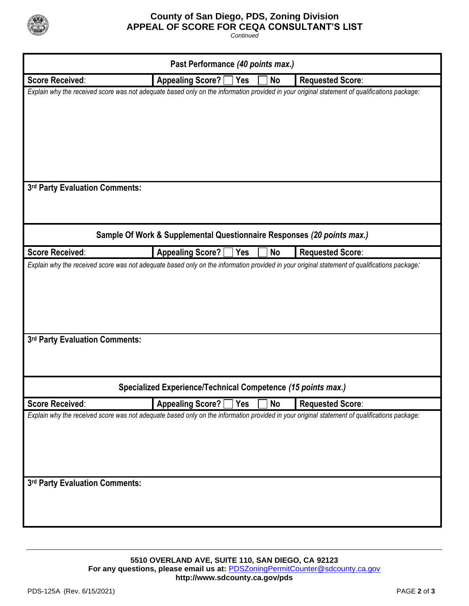

#### **County of San Diego, PDS, Zoning Division APPEAL OF SCORE FOR CEQA CONSULTANT'S LIST**

*Continued*

| Past Performance (40 points max.) |                                                                        |            |           |                                                                                                                                              |  |
|-----------------------------------|------------------------------------------------------------------------|------------|-----------|----------------------------------------------------------------------------------------------------------------------------------------------|--|
| <b>Score Received:</b>            | <b>Appealing Score?</b>                                                | <b>Yes</b> | <b>No</b> | <b>Requested Score:</b>                                                                                                                      |  |
|                                   |                                                                        |            |           | Explain why the received score was not adequate based only on the information provided in your original statement of qualifications package: |  |
| 3rd Party Evaluation Comments:    | Sample Of Work & Supplemental Questionnaire Responses (20 points max.) |            |           |                                                                                                                                              |  |
| <b>Score Received:</b>            | Appealing Score? [                                                     | Yes        | <b>No</b> | <b>Requested Score:</b>                                                                                                                      |  |
| 3rd Party Evaluation Comments:    |                                                                        |            |           |                                                                                                                                              |  |
|                                   | Specialized Experience/Technical Competence (15 points max.)           |            |           |                                                                                                                                              |  |
| <b>Score Received:</b>            | <b>Appealing Score?</b> [                                              | Yes        | <b>No</b> | <b>Requested Score:</b>                                                                                                                      |  |
| 3rd Party Evaluation Comments:    |                                                                        |            |           | Explain why the received score was not adequate based only on the information provided in your original statement of qualifications package: |  |

**5510 OVERLAND AVE, SUITE 110, SAN DIEGO, CA 92123** For any questions, please email us at: **[PDSZoningPermitCounter@sdcounty.ca.gov](mailto:PDSZoningPermitCounter@sdcounty.ca.gov) <http://www.sdcounty.ca.gov/pds>**